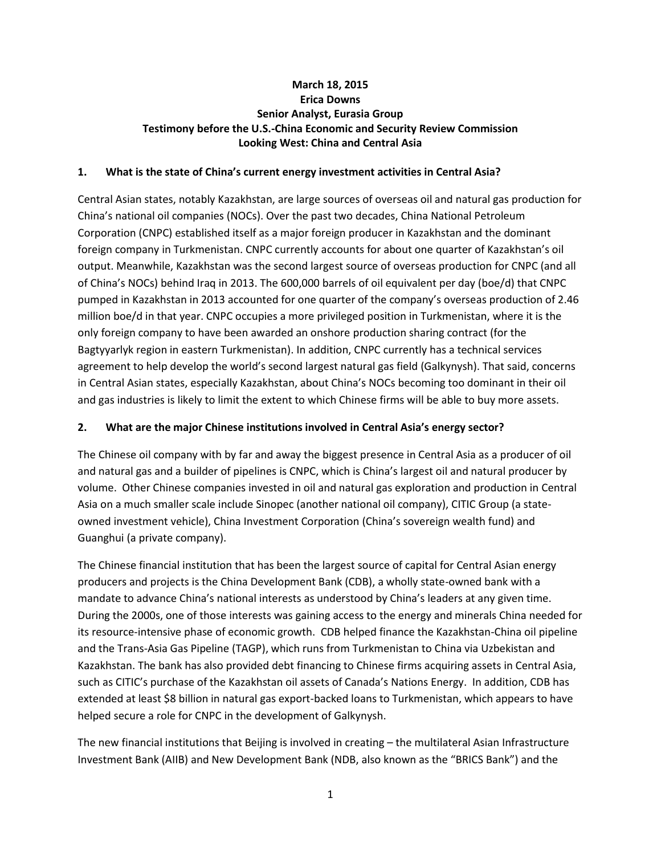### **March 18, 2015 Erica Downs Senior Analyst, Eurasia Group Testimony before the U.S.-China Economic and Security Review Commission Looking West: China and Central Asia**

#### **1. What is the state of China's current energy investment activities in Central Asia?**

Central Asian states, notably Kazakhstan, are large sources of overseas oil and natural gas production for China's national oil companies (NOCs). Over the past two decades, China National Petroleum Corporation (CNPC) established itself as a major foreign producer in Kazakhstan and the dominant foreign company in Turkmenistan. CNPC currently accounts for about one quarter of Kazakhstan's oil output. Meanwhile, Kazakhstan was the second largest source of overseas production for CNPC (and all of China's NOCs) behind Iraq in 2013. The 600,000 barrels of oil equivalent per day (boe/d) that CNPC pumped in Kazakhstan in 2013 accounted for one quarter of the company's overseas production of 2.46 million boe/d in that year. CNPC occupies a more privileged position in Turkmenistan, where it is the only foreign company to have been awarded an onshore production sharing contract (for the Bagtyyarlyk region in eastern Turkmenistan). In addition, CNPC currently has a technical services agreement to help develop the world's second largest natural gas field (Galkynysh). That said, concerns in Central Asian states, especially Kazakhstan, about China's NOCs becoming too dominant in their oil and gas industries is likely to limit the extent to which Chinese firms will be able to buy more assets.

#### **2. What are the major Chinese institutions involved in Central Asia's energy sector?**

The Chinese oil company with by far and away the biggest presence in Central Asia as a producer of oil and natural gas and a builder of pipelines is CNPC, which is China's largest oil and natural producer by volume. Other Chinese companies invested in oil and natural gas exploration and production in Central Asia on a much smaller scale include Sinopec (another national oil company), CITIC Group (a stateowned investment vehicle), China Investment Corporation (China's sovereign wealth fund) and Guanghui (a private company).

The Chinese financial institution that has been the largest source of capital for Central Asian energy producers and projects is the China Development Bank (CDB), a wholly state-owned bank with a mandate to advance China's national interests as understood by China's leaders at any given time. During the 2000s, one of those interests was gaining access to the energy and minerals China needed for its resource-intensive phase of economic growth. CDB helped finance the Kazakhstan-China oil pipeline and the Trans-Asia Gas Pipeline (TAGP), which runs from Turkmenistan to China via Uzbekistan and Kazakhstan. The bank has also provided debt financing to Chinese firms acquiring assets in Central Asia, such as CITIC's purchase of the Kazakhstan oil assets of Canada's Nations Energy. In addition, CDB has extended at least \$8 billion in natural gas export-backed loans to Turkmenistan, which appears to have helped secure a role for CNPC in the development of Galkynysh.

The new financial institutions that Beijing is involved in creating – the multilateral Asian Infrastructure Investment Bank (AIIB) and New Development Bank (NDB, also known as the "BRICS Bank") and the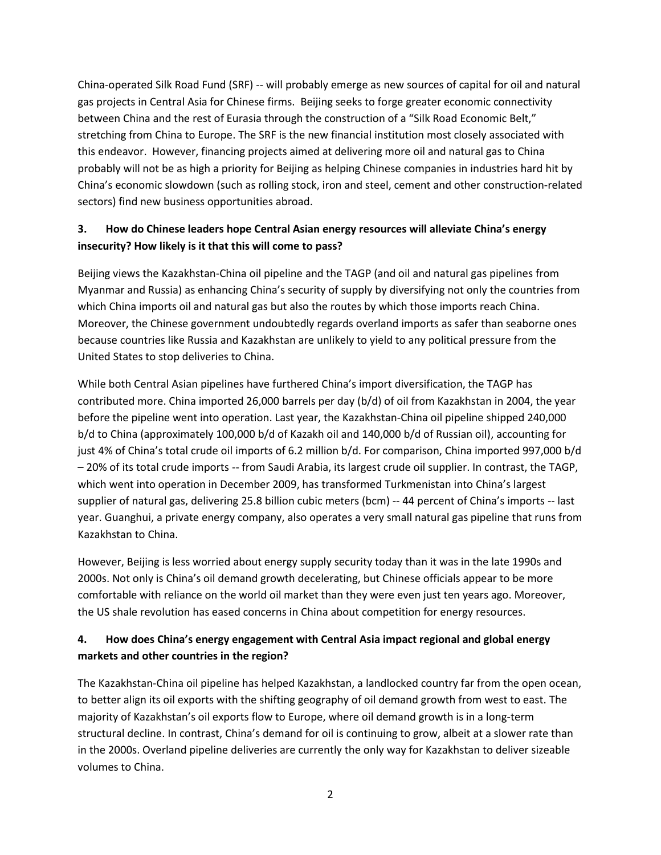China-operated Silk Road Fund (SRF) -- will probably emerge as new sources of capital for oil and natural gas projects in Central Asia for Chinese firms. Beijing seeks to forge greater economic connectivity between China and the rest of Eurasia through the construction of a "Silk Road Economic Belt," stretching from China to Europe. The SRF is the new financial institution most closely associated with this endeavor. However, financing projects aimed at delivering more oil and natural gas to China probably will not be as high a priority for Beijing as helping Chinese companies in industries hard hit by China's economic slowdown (such as rolling stock, iron and steel, cement and other construction-related sectors) find new business opportunities abroad.

# **3. How do Chinese leaders hope Central Asian energy resources will alleviate China's energy insecurity? How likely is it that this will come to pass?**

Beijing views the Kazakhstan-China oil pipeline and the TAGP (and oil and natural gas pipelines from Myanmar and Russia) as enhancing China's security of supply by diversifying not only the countries from which China imports oil and natural gas but also the routes by which those imports reach China. Moreover, the Chinese government undoubtedly regards overland imports as safer than seaborne ones because countries like Russia and Kazakhstan are unlikely to yield to any political pressure from the United States to stop deliveries to China.

While both Central Asian pipelines have furthered China's import diversification, the TAGP has contributed more. China imported 26,000 barrels per day (b/d) of oil from Kazakhstan in 2004, the year before the pipeline went into operation. Last year, the Kazakhstan-China oil pipeline shipped 240,000 b/d to China (approximately 100,000 b/d of Kazakh oil and 140,000 b/d of Russian oil), accounting for just 4% of China's total crude oil imports of 6.2 million b/d. For comparison, China imported 997,000 b/d – 20% of its total crude imports -- from Saudi Arabia, its largest crude oil supplier. In contrast, the TAGP, which went into operation in December 2009, has transformed Turkmenistan into China's largest supplier of natural gas, delivering 25.8 billion cubic meters (bcm) -- 44 percent of China's imports -- last year. Guanghui, a private energy company, also operates a very small natural gas pipeline that runs from Kazakhstan to China.

However, Beijing is less worried about energy supply security today than it was in the late 1990s and 2000s. Not only is China's oil demand growth decelerating, but Chinese officials appear to be more comfortable with reliance on the world oil market than they were even just ten years ago. Moreover, the US shale revolution has eased concerns in China about competition for energy resources.

# **4. How does China's energy engagement with Central Asia impact regional and global energy markets and other countries in the region?**

The Kazakhstan-China oil pipeline has helped Kazakhstan, a landlocked country far from the open ocean, to better align its oil exports with the shifting geography of oil demand growth from west to east. The majority of Kazakhstan's oil exports flow to Europe, where oil demand growth is in a long-term structural decline. In contrast, China's demand for oil is continuing to grow, albeit at a slower rate than in the 2000s. Overland pipeline deliveries are currently the only way for Kazakhstan to deliver sizeable volumes to China.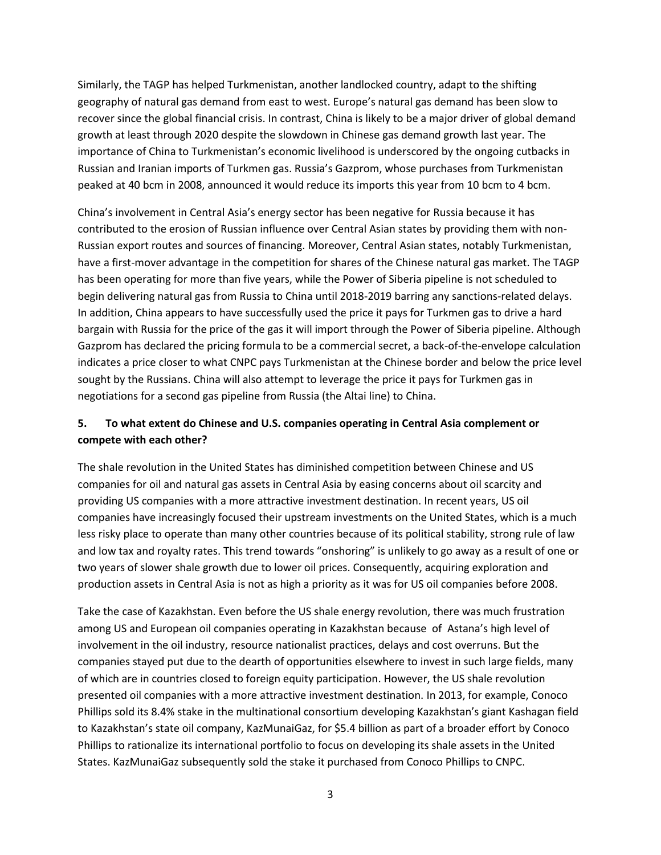Similarly, the TAGP has helped Turkmenistan, another landlocked country, adapt to the shifting geography of natural gas demand from east to west. Europe's natural gas demand has been slow to recover since the global financial crisis. In contrast, China is likely to be a major driver of global demand growth at least through 2020 despite the slowdown in Chinese gas demand growth last year. The importance of China to Turkmenistan's economic livelihood is underscored by the ongoing cutbacks in Russian and Iranian imports of Turkmen gas. Russia's Gazprom, whose purchases from Turkmenistan peaked at 40 bcm in 2008, announced it would reduce its imports this year from 10 bcm to 4 bcm.

China's involvement in Central Asia's energy sector has been negative for Russia because it has contributed to the erosion of Russian influence over Central Asian states by providing them with non-Russian export routes and sources of financing. Moreover, Central Asian states, notably Turkmenistan, have a first-mover advantage in the competition for shares of the Chinese natural gas market. The TAGP has been operating for more than five years, while the Power of Siberia pipeline is not scheduled to begin delivering natural gas from Russia to China until 2018-2019 barring any sanctions-related delays. In addition, China appears to have successfully used the price it pays for Turkmen gas to drive a hard bargain with Russia for the price of the gas it will import through the Power of Siberia pipeline. Although Gazprom has declared the pricing formula to be a commercial secret, a back-of-the-envelope calculation indicates a price closer to what CNPC pays Turkmenistan at the Chinese border and below the price level sought by the Russians. China will also attempt to leverage the price it pays for Turkmen gas in negotiations for a second gas pipeline from Russia (the Altai line) to China.

### **5. To what extent do Chinese and U.S. companies operating in Central Asia complement or compete with each other?**

The shale revolution in the United States has diminished competition between Chinese and US companies for oil and natural gas assets in Central Asia by easing concerns about oil scarcity and providing US companies with a more attractive investment destination. In recent years, US oil companies have increasingly focused their upstream investments on the United States, which is a much less risky place to operate than many other countries because of its political stability, strong rule of law and low tax and royalty rates. This trend towards "onshoring" is unlikely to go away as a result of one or two years of slower shale growth due to lower oil prices. Consequently, acquiring exploration and production assets in Central Asia is not as high a priority as it was for US oil companies before 2008.

Take the case of Kazakhstan. Even before the US shale energy revolution, there was much frustration among US and European oil companies operating in Kazakhstan because of Astana's high level of involvement in the oil industry, resource nationalist practices, delays and cost overruns. But the companies stayed put due to the dearth of opportunities elsewhere to invest in such large fields, many of which are in countries closed to foreign equity participation. However, the US shale revolution presented oil companies with a more attractive investment destination. In 2013, for example, Conoco Phillips sold its 8.4% stake in the multinational consortium developing Kazakhstan's giant Kashagan field to Kazakhstan's state oil company, KazMunaiGaz, for \$5.4 billion as part of a broader effort by Conoco Phillips to rationalize its international portfolio to focus on developing its shale assets in the United States. KazMunaiGaz subsequently sold the stake it purchased from Conoco Phillips to CNPC.